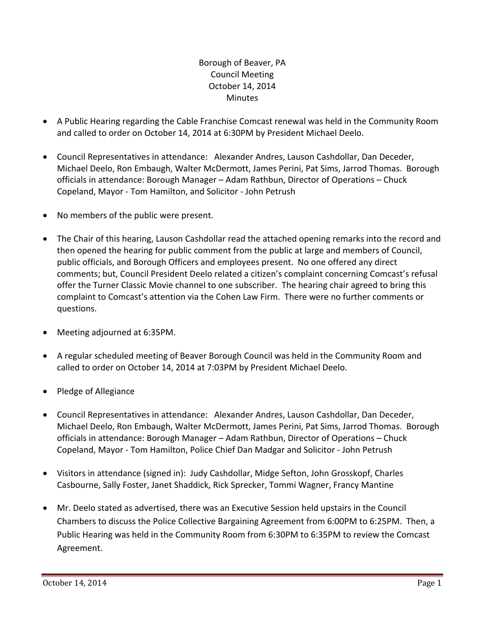Borough of Beaver, PA Council Meeting October 14, 2014 **Minutes** 

- A Public Hearing regarding the Cable Franchise Comcast renewal was held in the Community Room and called to order on October 14, 2014 at 6:30PM by President Michael Deelo.
- Council Representatives in attendance: Alexander Andres, Lauson Cashdollar, Dan Deceder, Michael Deelo, Ron Embaugh, Walter McDermott, James Perini, Pat Sims, Jarrod Thomas. Borough officials in attendance: Borough Manager – Adam Rathbun, Director of Operations – Chuck Copeland, Mayor ‐ Tom Hamilton, and Solicitor ‐ John Petrush
- No members of the public were present.
- The Chair of this hearing, Lauson Cashdollar read the attached opening remarks into the record and then opened the hearing for public comment from the public at large and members of Council, public officials, and Borough Officers and employees present. No one offered any direct comments; but, Council President Deelo related a citizen's complaint concerning Comcast's refusal offer the Turner Classic Movie channel to one subscriber. The hearing chair agreed to bring this complaint to Comcast's attention via the Cohen Law Firm. There were no further comments or questions.
- Meeting adjourned at 6:35PM.
- A regular scheduled meeting of Beaver Borough Council was held in the Community Room and called to order on October 14, 2014 at 7:03PM by President Michael Deelo.
- Pledge of Allegiance
- Council Representatives in attendance: Alexander Andres, Lauson Cashdollar, Dan Deceder, Michael Deelo, Ron Embaugh, Walter McDermott, James Perini, Pat Sims, Jarrod Thomas. Borough officials in attendance: Borough Manager – Adam Rathbun, Director of Operations – Chuck Copeland, Mayor ‐ Tom Hamilton, Police Chief Dan Madgar and Solicitor ‐ John Petrush
- Visitors in attendance (signed in): Judy Cashdollar, Midge Sefton, John Grosskopf, Charles Casbourne, Sally Foster, Janet Shaddick, Rick Sprecker, Tommi Wagner, Francy Mantine
- Mr. Deelo stated as advertised, there was an Executive Session held upstairs in the Council Chambers to discuss the Police Collective Bargaining Agreement from 6:00PM to 6:25PM. Then, a Public Hearing was held in the Community Room from 6:30PM to 6:35PM to review the Comcast Agreement.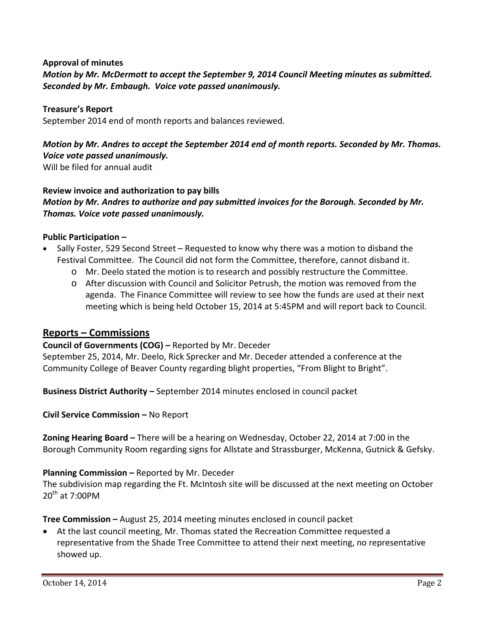#### **Approval of minutes**

*Motion by Mr. McDermott to accept the September 9, 2014 Council Meeting minutes as submitted. Seconded by Mr. Embaugh. Voice vote passed unanimously.* 

#### **Treasure's Report**

September 2014 end of month reports and balances reviewed.

# *Motion by Mr. Andres to accept the September 2014 end of month reports. Seconded by Mr. Thomas. Voice vote passed unanimously.*

Will be filed for annual audit

#### **Review invoice and authorization to pay bills**

*Motion by Mr. Andres to authorize and pay submitted invoices for the Borough. Seconded by Mr. Thomas. Voice vote passed unanimously.*

#### **Public Participation –**

- Sally Foster, 529 Second Street Requested to know why there was a motion to disband the Festival Committee. The Council did not form the Committee, therefore, cannot disband it.
	- o Mr. Deelo stated the motion is to research and possibly restructure the Committee.
	- o After discussion with Council and Solicitor Petrush, the motion was removed from the agenda. The Finance Committee will review to see how the funds are used at their next meeting which is being held October 15, 2014 at 5:45PM and will report back to Council.

## **Reports – Commissions**

#### **Council of Governments (COG) –** Reported by Mr. Deceder

September 25, 2014, Mr. Deelo, Rick Sprecker and Mr. Deceder attended a conference at the Community College of Beaver County regarding blight properties, "From Blight to Bright".

**Business District Authority –** September 2014 minutes enclosed in council packet

**Civil Service Commission –** No Report

**Zoning Hearing Board –** There will be a hearing on Wednesday, October 22, 2014 at 7:00 in the Borough Community Room regarding signs for Allstate and Strassburger, McKenna, Gutnick & Gefsky.

## **Planning Commission –** Reported by Mr. Deceder

The subdivision map regarding the Ft. McIntosh site will be discussed at the next meeting on October  $20^{th}$  at 7:00PM

**Tree Commission –** August 25, 2014 meeting minutes enclosed in council packet

 At the last council meeting, Mr. Thomas stated the Recreation Committee requested a representative from the Shade Tree Committee to attend their next meeting, no representative showed up.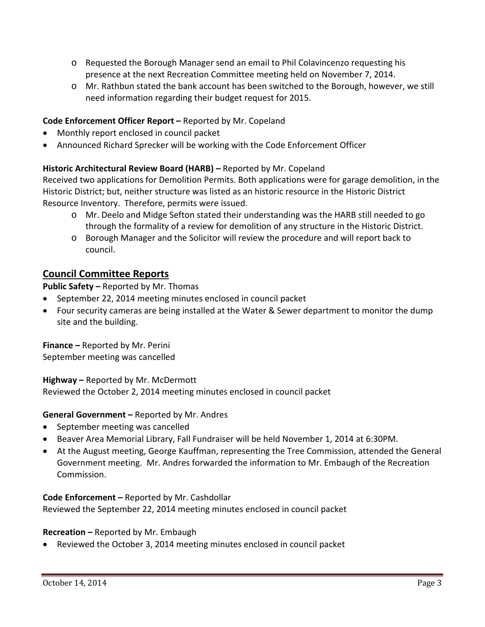- o Requested the Borough Manager send an email to Phil Colavincenzo requesting his presence at the next Recreation Committee meeting held on November 7, 2014.
- o Mr. Rathbun stated the bank account has been switched to the Borough, however, we still need information regarding their budget request for 2015.

## **Code Enforcement Officer Report –** Reported by Mr. Copeland

- Monthly report enclosed in council packet
- Announced Richard Sprecker will be working with the Code Enforcement Officer

## **Historic Architectural Review Board (HARB) –** Reported by Mr. Copeland

Received two applications for Demolition Permits. Both applications were for garage demolition, in the Historic District; but, neither structure was listed as an historic resource in the Historic District Resource Inventory. Therefore, permits were issued.

- o Mr. Deelo and Midge Sefton stated their understanding was the HARB still needed to go through the formality of a review for demolition of any structure in the Historic District.
- o Borough Manager and the Solicitor will review the procedure and will report back to council.

# **Council Committee Reports**

**Public Safety –** Reported by Mr. Thomas

- September 22, 2014 meeting minutes enclosed in council packet
- Four security cameras are being installed at the Water & Sewer department to monitor the dump site and the building.

**Finance –** Reported by Mr. Perini September meeting was cancelled

**Highway –** Reported by Mr. McDermott

Reviewed the October 2, 2014 meeting minutes enclosed in council packet

**General Government –** Reported by Mr. Andres

- September meeting was cancelled
- Beaver Area Memorial Library, Fall Fundraiser will be held November 1, 2014 at 6:30PM.
- At the August meeting, George Kauffman, representing the Tree Commission, attended the General Government meeting. Mr. Andres forwarded the information to Mr. Embaugh of the Recreation Commission.

## **Code Enforcement –** Reported by Mr. Cashdollar

Reviewed the September 22, 2014 meeting minutes enclosed in council packet

## **Recreation –** Reported by Mr. Embaugh

Reviewed the October 3, 2014 meeting minutes enclosed in council packet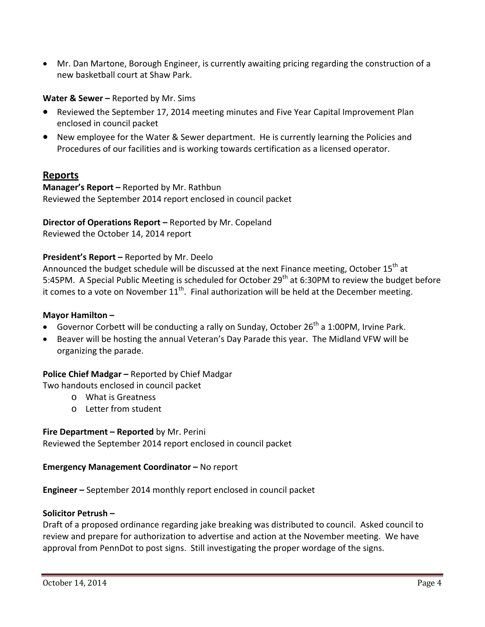Mr. Dan Martone, Borough Engineer, is currently awaiting pricing regarding the construction of a new basketball court at Shaw Park.

**Water & Sewer –** Reported by Mr. Sims

- Reviewed the September 17, 2014 meeting minutes and Five Year Capital Improvement Plan enclosed in council packet
- New employee for the Water & Sewer department. He is currently learning the Policies and Procedures of our facilities and is working towards certification as a licensed operator.

# **Reports**

**Manager's Report –** Reported by Mr. Rathbun Reviewed the September 2014 report enclosed in council packet

**Director of Operations Report –** Reported by Mr. Copeland Reviewed the October 14, 2014 report

## **President's Report –** Reported by Mr. Deelo

Announced the budget schedule will be discussed at the next Finance meeting, October 15<sup>th</sup> at 5:45PM. A Special Public Meeting is scheduled for October 29<sup>th</sup> at 6:30PM to review the budget before it comes to a vote on November  $11^{th}$ . Final authorization will be held at the December meeting.

#### **Mayor Hamilton –**

- Governor Corbett will be conducting a rally on Sunday, October  $26<sup>th</sup>$  a 1:00PM, Irvine Park.
- Beaver will be hosting the annual Veteran's Day Parade this year. The Midland VFW will be organizing the parade.

#### **Police Chief Madgar –** Reported by Chief Madgar

Two handouts enclosed in council packet

- o What is Greatness
- o Letter from student

#### **Fire Department – Reported** by Mr. Perini

Reviewed the September 2014 report enclosed in council packet

#### **Emergency Management Coordinator –** No report

**Engineer –** September 2014 monthly report enclosed in council packet

#### **Solicitor Petrush –**

Draft of a proposed ordinance regarding jake breaking was distributed to council. Asked council to review and prepare for authorization to advertise and action at the November meeting. We have approval from PennDot to post signs. Still investigating the proper wordage of the signs.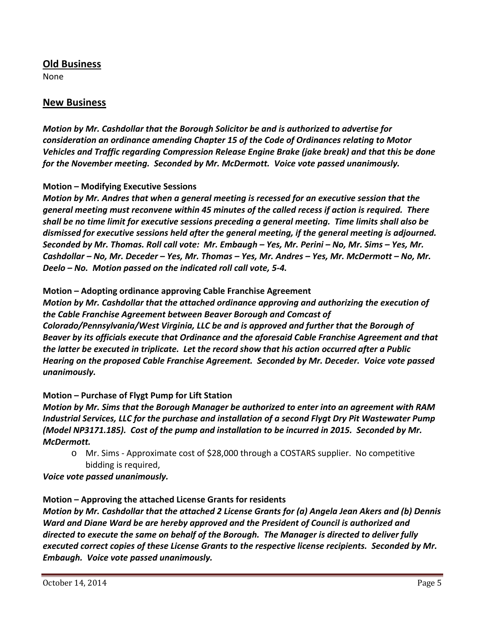## **Old Business**

None

## **New Business**

*Motion by Mr. Cashdollar that the Borough Solicitor be and is authorized to advertise for consideration an ordinance amending Chapter 15 of the Code of Ordinances relating to Motor Vehicles and Traffic regarding Compression Release Engine Brake (jake break) and that this be done for the November meeting. Seconded by Mr. McDermott. Voice vote passed unanimously.*

## **Motion – Modifying Executive Sessions**

*Motion by Mr. Andres that when a general meeting is recessed for an executive session that the general meeting must reconvene within 45 minutes of the called recess if action is required. There* shall be no time limit for executive sessions preceding a general meeting. Time limits shall also be *dismissed for executive sessions held after the general meeting, if the general meeting is adjourned.*  Seconded by Mr. Thomas. Roll call vote: Mr. Embaugh - Yes, Mr. Perini - No, Mr. Sims - Yes, Mr. Cashdollar - No, Mr. Deceder - Yes, Mr. Thomas - Yes, Mr. Andres - Yes, Mr. McDermott - No, Mr. *Deelo – No. Motion passed on the indicated roll call vote, 5‐4.*

## **Motion – Adopting ordinance approving Cable Franchise Agreement**

*Motion by Mr. Cashdollar that the attached ordinance approving and authorizing the execution of the Cable Franchise Agreement between Beaver Borough and Comcast of Colorado/Pennsylvania/West Virginia, LLC be and is approved and further that the Borough of Beaver by its officials execute that Ordinance and the aforesaid Cable Franchise Agreement and that the latter be executed in triplicate. Let the record show that his action occurred after a Public Hearing on the proposed Cable Franchise Agreement. Seconded by Mr. Deceder. Voice vote passed unanimously.*

## **Motion – Purchase of Flygt Pump for Lift Station**

*Motion by Mr. Sims that the Borough Manager be authorized to enter into an agreement with RAM Industrial Services, LLC for the purchase and installation of a second Flygt Dry Pit Wastewater Pump (Model NP3171.185). Cost of the pump and installation to be incurred in 2015. Seconded by Mr. McDermott.* 

o Mr. Sims ‐ Approximate cost of \$28,000 through a COSTARS supplier. No competitive bidding is required,

*Voice vote passed unanimously.*

## **Motion – Approving the attached License Grants for residents**

Motion by Mr. Cashdollar that the attached 2 License Grants for (a) Angela Jean Akers and (b) Dennis *Ward and Diane Ward be are hereby approved and the President of Council is authorized and directed to execute the same on behalf of the Borough. The Manager is directed to deliver fully executed correct copies of these License Grants to the respective license recipients. Seconded by Mr. Embaugh. Voice vote passed unanimously.*